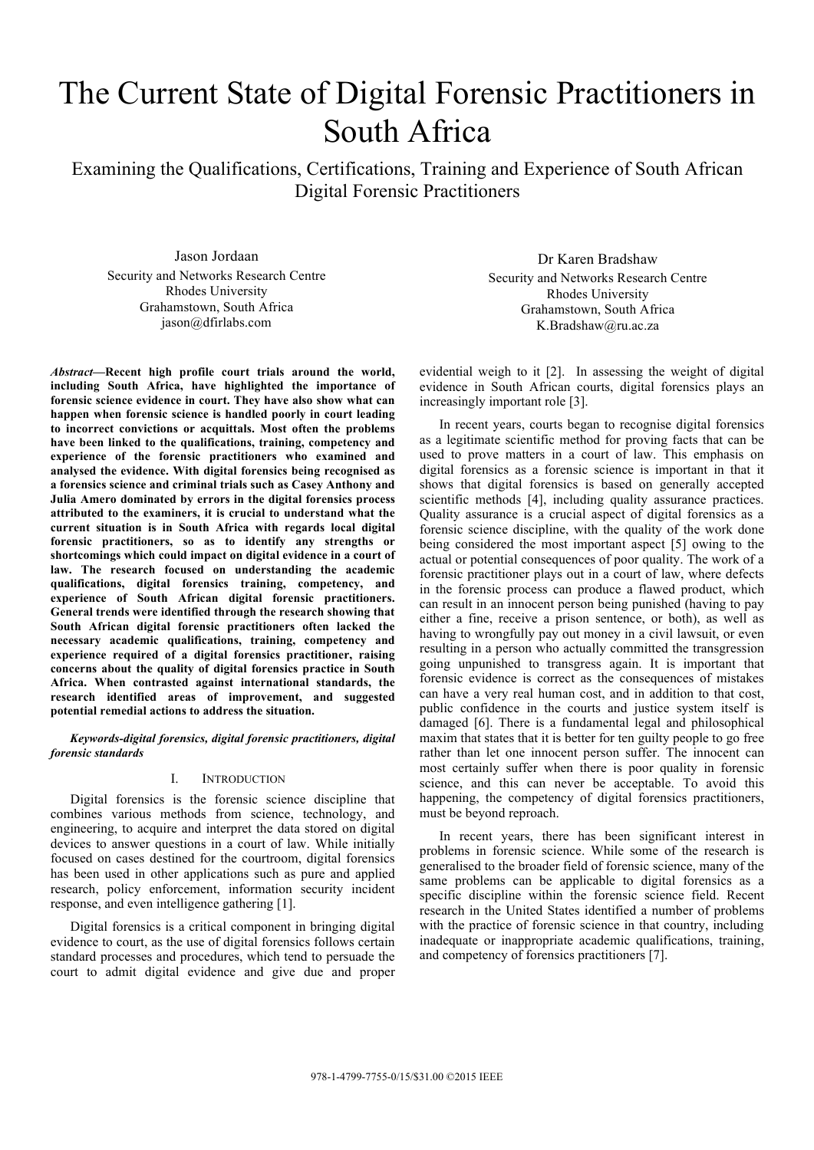# The Current State of Digital Forensic Practitioners in South Africa

Examining the Qualifications, Certifications, Training and Experience of South African Digital Forensic Practitioners

Jason Jordaan Security and Networks Research Centre Rhodes University Grahamstown, South Africa jason@dfirlabs.com

*Abstract***—Recent high profile court trials around the world, including South Africa, have highlighted the importance of forensic science evidence in court. They have also show what can happen when forensic science is handled poorly in court leading to incorrect convictions or acquittals. Most often the problems have been linked to the qualifications, training, competency and experience of the forensic practitioners who examined and analysed the evidence. With digital forensics being recognised as a forensics science and criminal trials such as Casey Anthony and Julia Amero dominated by errors in the digital forensics process attributed to the examiners, it is crucial to understand what the current situation is in South Africa with regards local digital forensic practitioners, so as to identify any strengths or shortcomings which could impact on digital evidence in a court of law. The research focused on understanding the academic qualifications, digital forensics training, competency, and experience of South African digital forensic practitioners. General trends were identified through the research showing that South African digital forensic practitioners often lacked the necessary academic qualifications, training, competency and experience required of a digital forensics practitioner, raising concerns about the quality of digital forensics practice in South Africa. When contrasted against international standards, the research identified areas of improvement, and suggested potential remedial actions to address the situation.**

*Keywords-digital forensics, digital forensic practitioners, digital forensic standards*

# I. INTRODUCTION

Digital forensics is the forensic science discipline that combines various methods from science, technology, and engineering, to acquire and interpret the data stored on digital devices to answer questions in a court of law. While initially focused on cases destined for the courtroom, digital forensics has been used in other applications such as pure and applied research, policy enforcement, information security incident response, and even intelligence gathering [1].

Digital forensics is a critical component in bringing digital evidence to court, as the use of digital forensics follows certain standard processes and procedures, which tend to persuade the court to admit digital evidence and give due and proper

Dr Karen Bradshaw Security and Networks Research Centre Rhodes University Grahamstown, South Africa K.Bradshaw@ru.ac.za

evidential weigh to it [2]. In assessing the weight of digital evidence in South African courts, digital forensics plays an increasingly important role [3].

In recent years, courts began to recognise digital forensics as a legitimate scientific method for proving facts that can be used to prove matters in a court of law. This emphasis on digital forensics as a forensic science is important in that it shows that digital forensics is based on generally accepted scientific methods [4], including quality assurance practices. Quality assurance is a crucial aspect of digital forensics as a forensic science discipline, with the quality of the work done being considered the most important aspect [5] owing to the actual or potential consequences of poor quality. The work of a forensic practitioner plays out in a court of law, where defects in the forensic process can produce a flawed product, which can result in an innocent person being punished (having to pay either a fine, receive a prison sentence, or both), as well as having to wrongfully pay out money in a civil lawsuit, or even resulting in a person who actually committed the transgression going unpunished to transgress again. It is important that forensic evidence is correct as the consequences of mistakes can have a very real human cost, and in addition to that cost, public confidence in the courts and justice system itself is damaged [6]. There is a fundamental legal and philosophical maxim that states that it is better for ten guilty people to go free rather than let one innocent person suffer. The innocent can most certainly suffer when there is poor quality in forensic science, and this can never be acceptable. To avoid this happening, the competency of digital forensics practitioners, must be beyond reproach.

In recent years, there has been significant interest in problems in forensic science. While some of the research is generalised to the broader field of forensic science, many of the same problems can be applicable to digital forensics as a specific discipline within the forensic science field. Recent research in the United States identified a number of problems with the practice of forensic science in that country, including inadequate or inappropriate academic qualifications, training, and competency of forensics practitioners [7].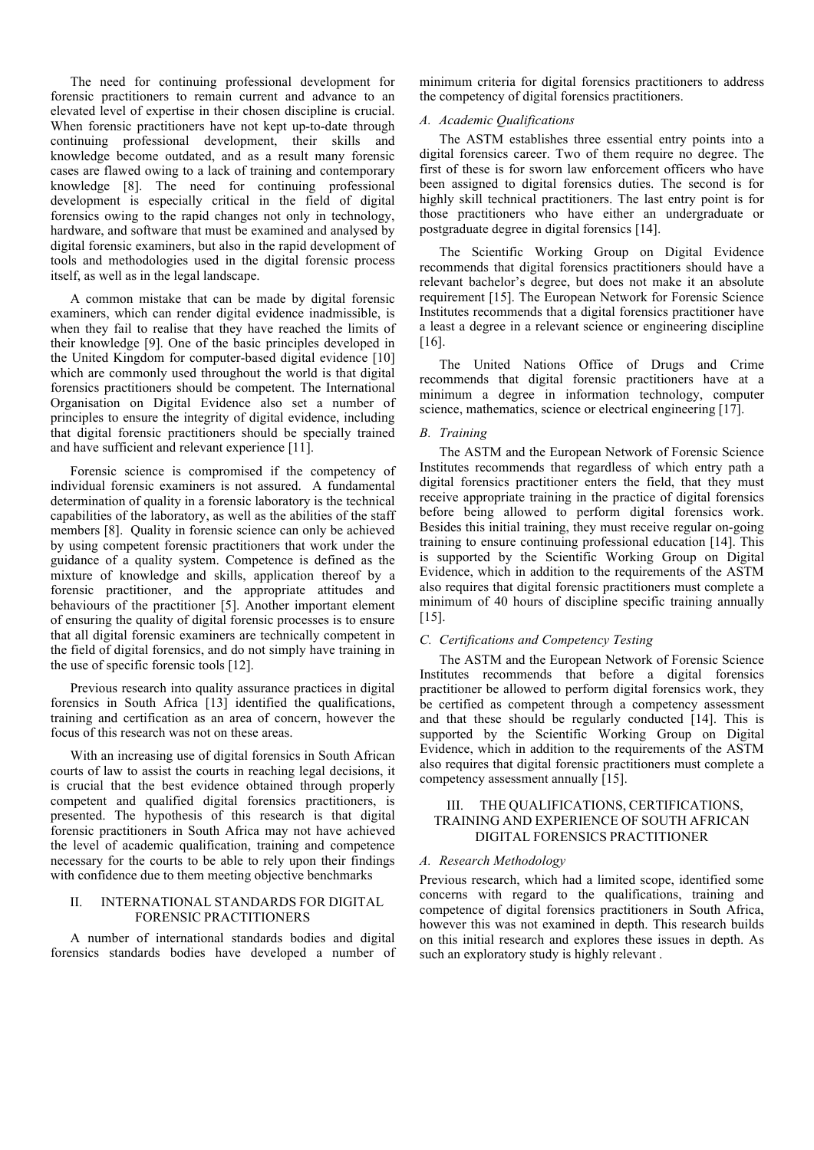The need for continuing professional development for forensic practitioners to remain current and advance to an elevated level of expertise in their chosen discipline is crucial. When forensic practitioners have not kept up-to-date through continuing professional development, their skills and knowledge become outdated, and as a result many forensic cases are flawed owing to a lack of training and contemporary knowledge [8]. The need for continuing professional development is especially critical in the field of digital forensics owing to the rapid changes not only in technology, hardware, and software that must be examined and analysed by digital forensic examiners, but also in the rapid development of tools and methodologies used in the digital forensic process itself, as well as in the legal landscape.

A common mistake that can be made by digital forensic examiners, which can render digital evidence inadmissible, is when they fail to realise that they have reached the limits of their knowledge [9]. One of the basic principles developed in the United Kingdom for computer-based digital evidence [10] which are commonly used throughout the world is that digital forensics practitioners should be competent. The International Organisation on Digital Evidence also set a number of principles to ensure the integrity of digital evidence, including that digital forensic practitioners should be specially trained and have sufficient and relevant experience [11].

Forensic science is compromised if the competency of individual forensic examiners is not assured. A fundamental determination of quality in a forensic laboratory is the technical capabilities of the laboratory, as well as the abilities of the staff members [8]. Quality in forensic science can only be achieved by using competent forensic practitioners that work under the guidance of a quality system. Competence is defined as the mixture of knowledge and skills, application thereof by a forensic practitioner, and the appropriate attitudes and behaviours of the practitioner [5]. Another important element of ensuring the quality of digital forensic processes is to ensure that all digital forensic examiners are technically competent in the field of digital forensics, and do not simply have training in the use of specific forensic tools [12].

Previous research into quality assurance practices in digital forensics in South Africa [13] identified the qualifications, training and certification as an area of concern, however the focus of this research was not on these areas.

With an increasing use of digital forensics in South African courts of law to assist the courts in reaching legal decisions, it is crucial that the best evidence obtained through properly competent and qualified digital forensics practitioners, is presented. The hypothesis of this research is that digital forensic practitioners in South Africa may not have achieved the level of academic qualification, training and competence necessary for the courts to be able to rely upon their findings with confidence due to them meeting objective benchmarks

# II. INTERNATIONAL STANDARDS FOR DIGITAL FORENSIC PRACTITIONERS

A number of international standards bodies and digital forensics standards bodies have developed a number of minimum criteria for digital forensics practitioners to address the competency of digital forensics practitioners.

# *A. Academic Qualifications*

The ASTM establishes three essential entry points into a digital forensics career. Two of them require no degree. The first of these is for sworn law enforcement officers who have been assigned to digital forensics duties. The second is for highly skill technical practitioners. The last entry point is for those practitioners who have either an undergraduate or postgraduate degree in digital forensics [14].

The Scientific Working Group on Digital Evidence recommends that digital forensics practitioners should have a relevant bachelor's degree, but does not make it an absolute requirement [15]. The European Network for Forensic Science Institutes recommends that a digital forensics practitioner have a least a degree in a relevant science or engineering discipline [16].

The United Nations Office of Drugs and Crime recommends that digital forensic practitioners have at a minimum a degree in information technology, computer science, mathematics, science or electrical engineering [17].

# *B. Training*

The ASTM and the European Network of Forensic Science Institutes recommends that regardless of which entry path a digital forensics practitioner enters the field, that they must receive appropriate training in the practice of digital forensics before being allowed to perform digital forensics work. Besides this initial training, they must receive regular on-going training to ensure continuing professional education [14]. This is supported by the Scientific Working Group on Digital Evidence, which in addition to the requirements of the ASTM also requires that digital forensic practitioners must complete a minimum of 40 hours of discipline specific training annually [15].

# *C. Certifications and Competency Testing*

The ASTM and the European Network of Forensic Science Institutes recommends that before a digital forensics practitioner be allowed to perform digital forensics work, they be certified as competent through a competency assessment and that these should be regularly conducted [14]. This is supported by the Scientific Working Group on Digital Evidence, which in addition to the requirements of the ASTM also requires that digital forensic practitioners must complete a competency assessment annually [15].

# III. THE QUALIFICATIONS, CERTIFICATIONS, TRAINING AND EXPERIENCE OF SOUTH AFRICAN DIGITAL FORENSICS PRACTITIONER

# *A. Research Methodology*

Previous research, which had a limited scope, identified some concerns with regard to the qualifications, training and competence of digital forensics practitioners in South Africa, however this was not examined in depth. This research builds on this initial research and explores these issues in depth. As such an exploratory study is highly relevant .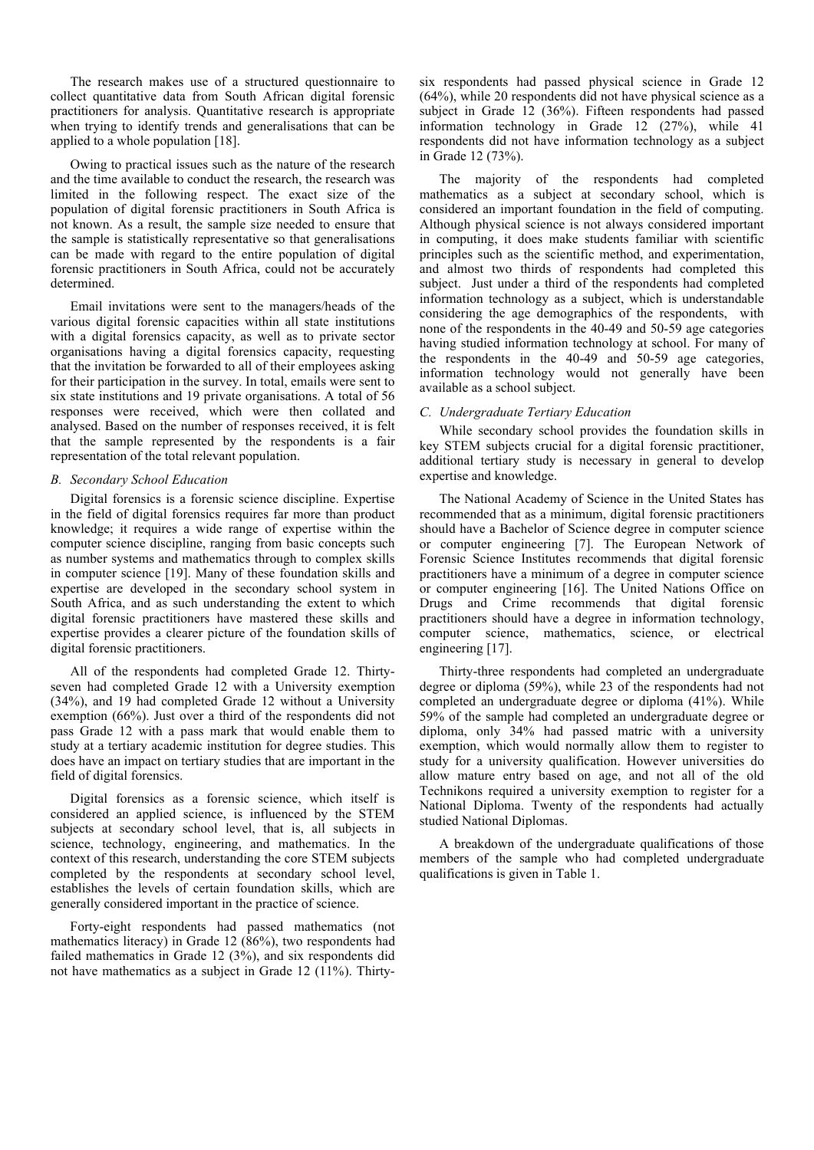The research makes use of a structured questionnaire to collect quantitative data from South African digital forensic practitioners for analysis. Quantitative research is appropriate when trying to identify trends and generalisations that can be applied to a whole population [18].

Owing to practical issues such as the nature of the research and the time available to conduct the research, the research was limited in the following respect. The exact size of the population of digital forensic practitioners in South Africa is not known. As a result, the sample size needed to ensure that the sample is statistically representative so that generalisations can be made with regard to the entire population of digital forensic practitioners in South Africa, could not be accurately determined.

Email invitations were sent to the managers/heads of the various digital forensic capacities within all state institutions with a digital forensics capacity, as well as to private sector organisations having a digital forensics capacity, requesting that the invitation be forwarded to all of their employees asking for their participation in the survey. In total, emails were sent to six state institutions and 19 private organisations. A total of 56 responses were received, which were then collated and analysed. Based on the number of responses received, it is felt that the sample represented by the respondents is a fair representation of the total relevant population.

#### *B. Secondary School Education*

Digital forensics is a forensic science discipline. Expertise in the field of digital forensics requires far more than product knowledge; it requires a wide range of expertise within the computer science discipline, ranging from basic concepts such as number systems and mathematics through to complex skills in computer science [19]. Many of these foundation skills and expertise are developed in the secondary school system in South Africa, and as such understanding the extent to which digital forensic practitioners have mastered these skills and expertise provides a clearer picture of the foundation skills of digital forensic practitioners.

All of the respondents had completed Grade 12. Thirtyseven had completed Grade 12 with a University exemption (34%), and 19 had completed Grade 12 without a University exemption (66%). Just over a third of the respondents did not pass Grade 12 with a pass mark that would enable them to study at a tertiary academic institution for degree studies. This does have an impact on tertiary studies that are important in the field of digital forensics.

Digital forensics as a forensic science, which itself is considered an applied science, is influenced by the STEM subjects at secondary school level, that is, all subjects in science, technology, engineering, and mathematics. In the context of this research, understanding the core STEM subjects completed by the respondents at secondary school level, establishes the levels of certain foundation skills, which are generally considered important in the practice of science.

Forty-eight respondents had passed mathematics (not mathematics literacy) in Grade 12 (86%), two respondents had failed mathematics in Grade 12 (3%), and six respondents did not have mathematics as a subject in Grade 12 (11%). Thirtysix respondents had passed physical science in Grade 12 (64%), while 20 respondents did not have physical science as a subject in Grade 12 (36%). Fifteen respondents had passed information technology in Grade 12 (27%), while 41 respondents did not have information technology as a subject in Grade 12 (73%).

The majority of the respondents had completed mathematics as a subject at secondary school, which is considered an important foundation in the field of computing. Although physical science is not always considered important in computing, it does make students familiar with scientific principles such as the scientific method, and experimentation, and almost two thirds of respondents had completed this subject. Just under a third of the respondents had completed information technology as a subject, which is understandable considering the age demographics of the respondents, with none of the respondents in the 40-49 and 50-59 age categories having studied information technology at school. For many of the respondents in the 40-49 and 50-59 age categories, information technology would not generally have been available as a school subject.

#### *C. Undergraduate Tertiary Education*

While secondary school provides the foundation skills in key STEM subjects crucial for a digital forensic practitioner, additional tertiary study is necessary in general to develop expertise and knowledge.

The National Academy of Science in the United States has recommended that as a minimum, digital forensic practitioners should have a Bachelor of Science degree in computer science or computer engineering [7]. The European Network of Forensic Science Institutes recommends that digital forensic practitioners have a minimum of a degree in computer science or computer engineering [16]. The United Nations Office on Drugs and Crime recommends that digital forensic practitioners should have a degree in information technology, computer science, mathematics, science, or electrical engineering [17].

Thirty-three respondents had completed an undergraduate degree or diploma (59%), while 23 of the respondents had not completed an undergraduate degree or diploma (41%). While 59% of the sample had completed an undergraduate degree or diploma, only 34% had passed matric with a university exemption, which would normally allow them to register to study for a university qualification. However universities do allow mature entry based on age, and not all of the old Technikons required a university exemption to register for a National Diploma. Twenty of the respondents had actually studied National Diplomas.

A breakdown of the undergraduate qualifications of those members of the sample who had completed undergraduate qualifications is given in Table 1.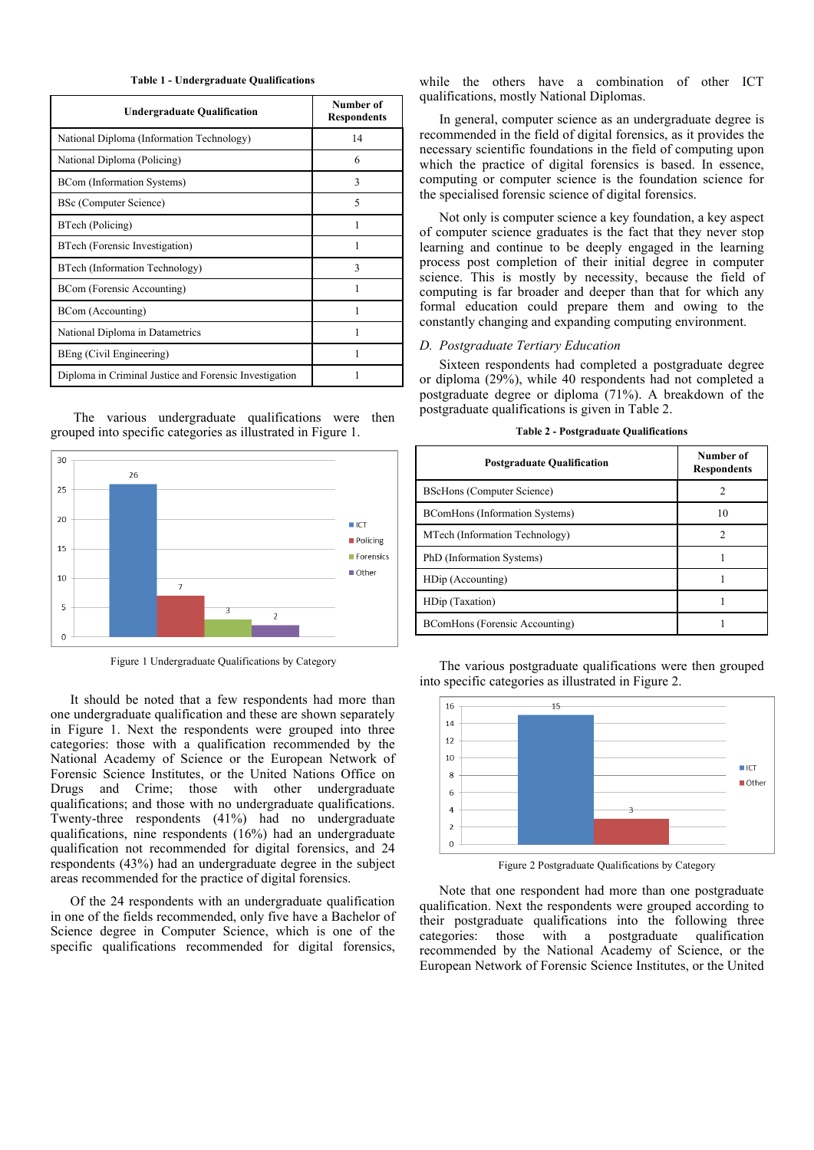**Table 1 - Undergraduate Qualifications**

| <b>Undergraduate Qualification</b>                     | Number of<br><b>Respondents</b> |
|--------------------------------------------------------|---------------------------------|
| National Diploma (Information Technology)              | 14                              |
| National Diploma (Policing)                            | 6                               |
| BCom (Information Systems)                             | 3                               |
| <b>BSc</b> (Computer Science)                          | 5                               |
| BTech (Policing)                                       |                                 |
| BTech (Forensic Investigation)                         |                                 |
| BTech (Information Technology)                         | $\mathbf{3}$                    |
| BCom (Forensic Accounting)                             |                                 |
| BCom (Accounting)                                      |                                 |
| National Diploma in Datametrics                        |                                 |
| BEng (Civil Engineering)                               |                                 |
| Diploma in Criminal Justice and Forensic Investigation |                                 |

The various undergraduate qualifications were then grouped into specific categories as illustrated in Figure 1.



Figure 1 Undergraduate Qualifications by Category

It should be noted that a few respondents had more than one undergraduate qualification and these are shown separately in Figure 1. Next the respondents were grouped into three categories: those with a qualification recommended by the National Academy of Science or the European Network of Forensic Science Institutes, or the United Nations Office on Drugs and Crime; those with other undergraduate qualifications; and those with no undergraduate qualifications. Twenty-three respondents (41%) had no undergraduate qualifications, nine respondents (16%) had an undergraduate qualification not recommended for digital forensics, and 24 respondents (43%) had an undergraduate degree in the subject areas recommended for the practice of digital forensics.

Of the 24 respondents with an undergraduate qualification in one of the fields recommended, only five have a Bachelor of Science degree in Computer Science, which is one of the specific qualifications recommended for digital forensics,

while the others have a combination of other ICT qualifications, mostly National Diplomas.

In general, computer science as an undergraduate degree is recommended in the field of digital forensics, as it provides the necessary scientific foundations in the field of computing upon which the practice of digital forensics is based. In essence, computing or computer science is the foundation science for the specialised forensic science of digital forensics.

Not only is computer science a key foundation, a key aspect of computer science graduates is the fact that they never stop learning and continue to be deeply engaged in the learning process post completion of their initial degree in computer science. This is mostly by necessity, because the field of computing is far broader and deeper than that for which any formal education could prepare them and owing to the constantly changing and expanding computing environment.

#### *D. Postgraduate Tertiary Education*

Sixteen respondents had completed a postgraduate degree or diploma (29%), while 40 respondents had not completed a postgraduate degree or diploma (71%). A breakdown of the postgraduate qualifications is given in Table 2.

| <b>Postgraduate Qualification</b>     | Number of<br><b>Respondents</b> |
|---------------------------------------|---------------------------------|
| <b>BScHons (Computer Science)</b>     | $\mathcal{D}$                   |
| BComHons (Information Systems)        | 10                              |
| MTech (Information Technology)        | $\mathcal{D}$                   |
| PhD (Information Systems)             |                                 |
| HDip (Accounting)                     |                                 |
| HDip (Taxation)                       |                                 |
| <b>BComHons</b> (Forensic Accounting) |                                 |

**Table 2 - Postgraduate Qualifications**

The various postgraduate qualifications were then grouped into specific categories as illustrated in Figure 2.



Figure 2 Postgraduate Qualifications by Category

Note that one respondent had more than one postgraduate qualification. Next the respondents were grouped according to their postgraduate qualifications into the following three categories: those with a postgraduate qualification recommended by the National Academy of Science, or the European Network of Forensic Science Institutes, or the United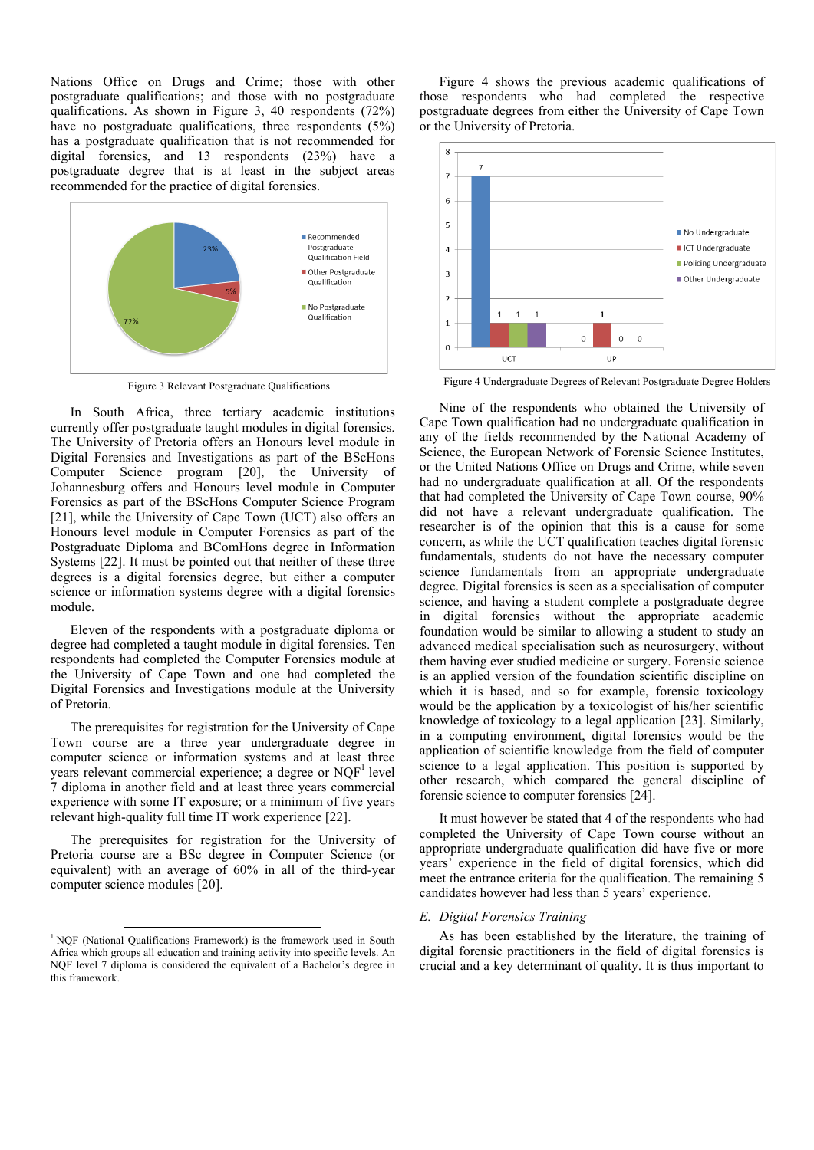Nations Office on Drugs and Crime; those with other postgraduate qualifications; and those with no postgraduate qualifications. As shown in Figure 3, 40 respondents (72%) have no postgraduate qualifications, three respondents (5%) has a postgraduate qualification that is not recommended for digital forensics, and 13 respondents (23%) have a postgraduate degree that is at least in the subject areas recommended for the practice of digital forensics.



In South Africa, three tertiary academic institutions currently offer postgraduate taught modules in digital forensics. The University of Pretoria offers an Honours level module in Digital Forensics and Investigations as part of the BScHons Computer Science program [20], the University of Johannesburg offers and Honours level module in Computer Forensics as part of the BScHons Computer Science Program [21], while the University of Cape Town (UCT) also offers an Honours level module in Computer Forensics as part of the Postgraduate Diploma and BComHons degree in Information Systems [22]. It must be pointed out that neither of these three degrees is a digital forensics degree, but either a computer science or information systems degree with a digital forensics module.

Eleven of the respondents with a postgraduate diploma or degree had completed a taught module in digital forensics. Ten respondents had completed the Computer Forensics module at the University of Cape Town and one had completed the Digital Forensics and Investigations module at the University of Pretoria.

The prerequisites for registration for the University of Cape Town course are a three year undergraduate degree in computer science or information systems and at least three years relevant commercial experience; a degree or  $NQF<sup>1</sup>$  level 7 diploma in another field and at least three years commercial experience with some IT exposure; or a minimum of five years relevant high-quality full time IT work experience [22].

The prerequisites for registration for the University of Pretoria course are a BSc degree in Computer Science (or equivalent) with an average of 60% in all of the third-year computer science modules [20].

Figure 4 shows the previous academic qualifications of those respondents who had completed the respective postgraduate degrees from either the University of Cape Town or the University of Pretoria.



Figure 3 Relevant Postgraduate Qualifications Figure 4 Undergraduate Degrees of Relevant Postgraduate Degree Holders

Nine of the respondents who obtained the University of Cape Town qualification had no undergraduate qualification in any of the fields recommended by the National Academy of Science, the European Network of Forensic Science Institutes, or the United Nations Office on Drugs and Crime, while seven had no undergraduate qualification at all. Of the respondents that had completed the University of Cape Town course, 90% did not have a relevant undergraduate qualification. The researcher is of the opinion that this is a cause for some concern, as while the UCT qualification teaches digital forensic fundamentals, students do not have the necessary computer science fundamentals from an appropriate undergraduate degree. Digital forensics is seen as a specialisation of computer science, and having a student complete a postgraduate degree in digital forensics without the appropriate academic foundation would be similar to allowing a student to study an advanced medical specialisation such as neurosurgery, without them having ever studied medicine or surgery. Forensic science is an applied version of the foundation scientific discipline on which it is based, and so for example, forensic toxicology would be the application by a toxicologist of his/her scientific knowledge of toxicology to a legal application [23]. Similarly, in a computing environment, digital forensics would be the application of scientific knowledge from the field of computer science to a legal application. This position is supported by other research, which compared the general discipline of forensic science to computer forensics [24].

It must however be stated that 4 of the respondents who had completed the University of Cape Town course without an appropriate undergraduate qualification did have five or more years' experience in the field of digital forensics, which did meet the entrance criteria for the qualification. The remaining 5 candidates however had less than 5 years' experience.

#### *E. Digital Forensics Training*

As has been established by the literature, the training of digital forensic practitioners in the field of digital forensics is crucial and a key determinant of quality. It is thus important to

<sup>&</sup>lt;sup>1</sup> NQF (National Qualifications Framework) is the framework used in South Africa which groups all education and training activity into specific levels. An NQF level 7 diploma is considered the equivalent of a Bachelor's degree in this framework.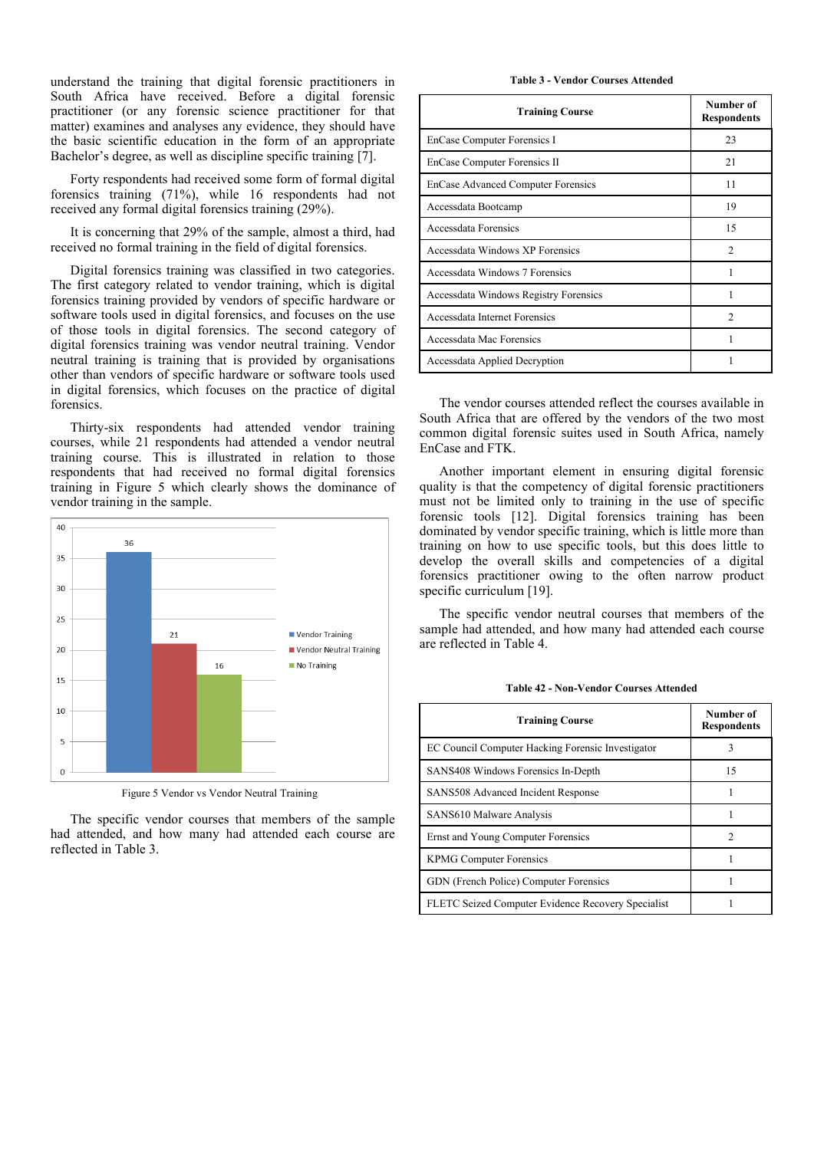understand the training that digital forensic practitioners in South Africa have received. Before a digital forensic practitioner (or any forensic science practitioner for that matter) examines and analyses any evidence, they should have the basic scientific education in the form of an appropriate Bachelor's degree, as well as discipline specific training [7].

Forty respondents had received some form of formal digital forensics training (71%), while 16 respondents had not received any formal digital forensics training (29%).

It is concerning that 29% of the sample, almost a third, had received no formal training in the field of digital forensics.

Digital forensics training was classified in two categories. The first category related to vendor training, which is digital forensics training provided by vendors of specific hardware or software tools used in digital forensics, and focuses on the use of those tools in digital forensics. The second category of digital forensics training was vendor neutral training. Vendor neutral training is training that is provided by organisations other than vendors of specific hardware or software tools used in digital forensics, which focuses on the practice of digital forensics.

Thirty-six respondents had attended vendor training courses, while 21 respondents had attended a vendor neutral training course. This is illustrated in relation to those respondents that had received no formal digital forensics training in Figure 5 which clearly shows the dominance of vendor training in the sample.



Figure 5 Vendor vs Vendor Neutral Training

The specific vendor courses that members of the sample had attended, and how many had attended each course are reflected in Table 3.

**Table 3 - Vendor Courses Attended**

| <b>Training Course</b>                    | Number of<br><b>Respondents</b> |
|-------------------------------------------|---------------------------------|
| EnCase Computer Forensics I               | 23                              |
| EnCase Computer Forensics II              | 21                              |
| <b>EnCase Advanced Computer Forensics</b> | 11                              |
| Accessdata Bootcamp                       | 19                              |
| Accessdata Forensics                      | 15                              |
| Accessdata Windows XP Forensics           | $\mathfrak{D}$                  |
| Accessdata Windows 7 Forensics            |                                 |
| Accessdata Windows Registry Forensics     |                                 |
| Accessdata Internet Forensics             | $\mathfrak{D}$                  |
| Accessdata Mac Forensics                  |                                 |
| Accessdata Applied Decryption             |                                 |

The vendor courses attended reflect the courses available in South Africa that are offered by the vendors of the two most common digital forensic suites used in South Africa, namely EnCase and FTK.

Another important element in ensuring digital forensic quality is that the competency of digital forensic practitioners must not be limited only to training in the use of specific forensic tools [12]. Digital forensics training has been dominated by vendor specific training, which is little more than training on how to use specific tools, but this does little to develop the overall skills and competencies of a digital forensics practitioner owing to the often narrow product specific curriculum [19].

The specific vendor neutral courses that members of the sample had attended, and how many had attended each course are reflected in Table 4.

| <b>Table 42 - Non-Vendor Courses Attended</b> |  |  |
|-----------------------------------------------|--|--|
|-----------------------------------------------|--|--|

| <b>Training Course</b>                             | Number of<br><b>Respondents</b> |
|----------------------------------------------------|---------------------------------|
| EC Council Computer Hacking Forensic Investigator  |                                 |
| SANS408 Windows Forensics In-Depth                 | 15                              |
| <b>SANS508 Advanced Incident Response</b>          |                                 |
| SANS610 Malware Analysis                           |                                 |
| Ernst and Young Computer Forensics                 | 2                               |
| <b>KPMG Computer Forensics</b>                     |                                 |
| GDN (French Police) Computer Forensics             |                                 |
| FLETC Seized Computer Evidence Recovery Specialist |                                 |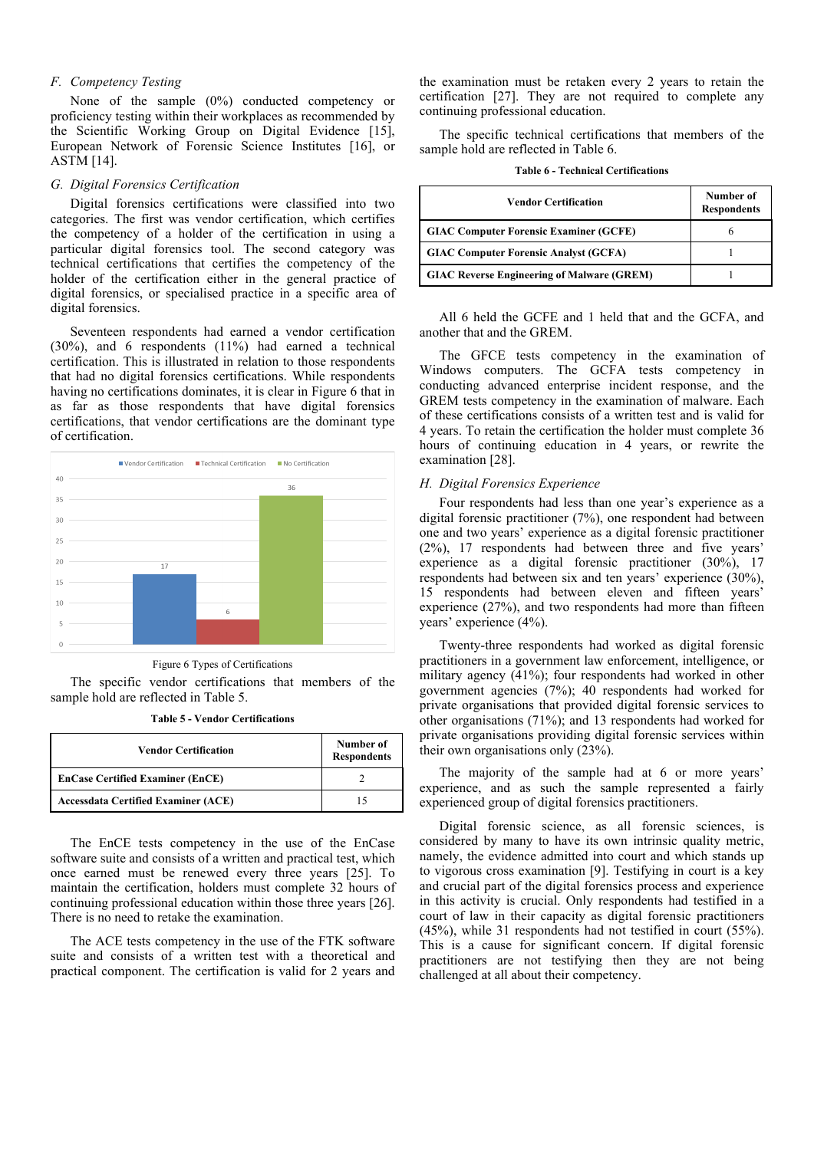# *F. Competency Testing*

None of the sample (0%) conducted competency or proficiency testing within their workplaces as recommended by the Scientific Working Group on Digital Evidence [15], European Network of Forensic Science Institutes [16], or ASTM [14].

#### *G. Digital Forensics Certification*

Digital forensics certifications were classified into two categories. The first was vendor certification, which certifies the competency of a holder of the certification in using a particular digital forensics tool. The second category was technical certifications that certifies the competency of the holder of the certification either in the general practice of digital forensics, or specialised practice in a specific area of digital forensics.

Seventeen respondents had earned a vendor certification (30%), and 6 respondents (11%) had earned a technical certification. This is illustrated in relation to those respondents that had no digital forensics certifications. While respondents having no certifications dominates, it is clear in Figure 6 that in as far as those respondents that have digital forensics certifications, that vendor certifications are the dominant type of certification.



Figure 6 Types of Certifications

The specific vendor certifications that members of the sample hold are reflected in Table 5.

**Table 5 - Vendor Certifications**

| <b>Vendor Certification</b>                | Number of<br><b>Respondents</b> |
|--------------------------------------------|---------------------------------|
| <b>EnCase Certified Examiner (EnCE)</b>    |                                 |
| <b>Accessdata Certified Examiner (ACE)</b> | 15                              |

The EnCE tests competency in the use of the EnCase software suite and consists of a written and practical test, which once earned must be renewed every three years [25]. To maintain the certification, holders must complete 32 hours of continuing professional education within those three years [26]. There is no need to retake the examination.

The ACE tests competency in the use of the FTK software suite and consists of a written test with a theoretical and practical component. The certification is valid for 2 years and the examination must be retaken every 2 years to retain the certification [27]. They are not required to complete any continuing professional education.

The specific technical certifications that members of the sample hold are reflected in Table 6.

|  |  | <b>Table 6 - Technical Certifications</b> |
|--|--|-------------------------------------------|
|--|--|-------------------------------------------|

| Vendor Certification                              | Number of<br><b>Respondents</b> |
|---------------------------------------------------|---------------------------------|
| <b>GIAC Computer Forensic Examiner (GCFE)</b>     | o                               |
| <b>GIAC Computer Forensic Analyst (GCFA)</b>      |                                 |
| <b>GIAC Reverse Engineering of Malware (GREM)</b> |                                 |

All 6 held the GCFE and 1 held that and the GCFA, and another that and the GREM.

The GFCE tests competency in the examination of Windows computers. The GCFA tests competency in conducting advanced enterprise incident response, and the GREM tests competency in the examination of malware. Each of these certifications consists of a written test and is valid for 4 years. To retain the certification the holder must complete 36 hours of continuing education in 4 years, or rewrite the examination [28].

# *H. Digital Forensics Experience*

Four respondents had less than one year's experience as a digital forensic practitioner (7%), one respondent had between one and two years' experience as a digital forensic practitioner (2%), 17 respondents had between three and five years' experience as a digital forensic practitioner (30%), 17 respondents had between six and ten years' experience (30%), 15 respondents had between eleven and fifteen years' experience (27%), and two respondents had more than fifteen years' experience (4%).

Twenty-three respondents had worked as digital forensic practitioners in a government law enforcement, intelligence, or military agency (41%); four respondents had worked in other government agencies (7%); 40 respondents had worked for private organisations that provided digital forensic services to other organisations (71%); and 13 respondents had worked for private organisations providing digital forensic services within their own organisations only (23%).

The majority of the sample had at 6 or more years' experience, and as such the sample represented a fairly experienced group of digital forensics practitioners.

Digital forensic science, as all forensic sciences, is considered by many to have its own intrinsic quality metric, namely, the evidence admitted into court and which stands up to vigorous cross examination [9]. Testifying in court is a key and crucial part of the digital forensics process and experience in this activity is crucial. Only respondents had testified in a court of law in their capacity as digital forensic practitioners (45%), while 31 respondents had not testified in court (55%). This is a cause for significant concern. If digital forensic practitioners are not testifying then they are not being challenged at all about their competency.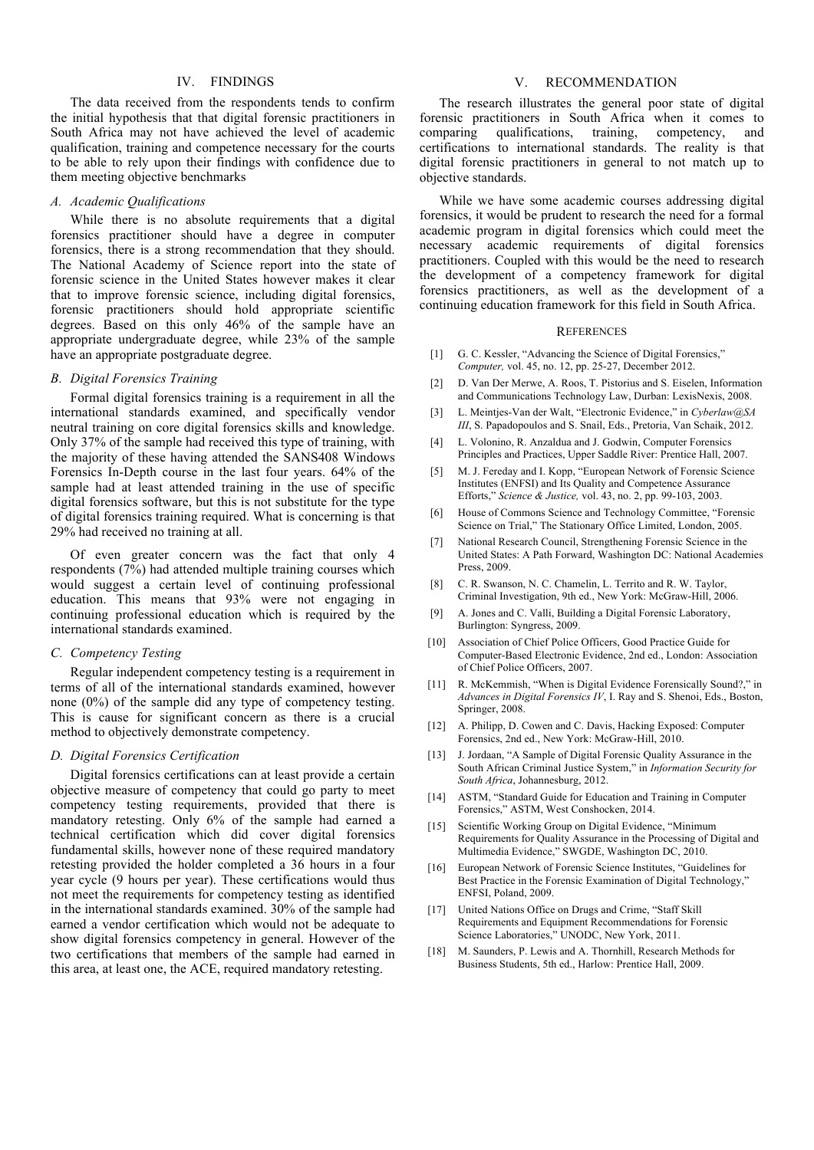# IV. FINDINGS

The data received from the respondents tends to confirm the initial hypothesis that that digital forensic practitioners in South Africa may not have achieved the level of academic qualification, training and competence necessary for the courts to be able to rely upon their findings with confidence due to them meeting objective benchmarks

#### *A. Academic Qualifications*

While there is no absolute requirements that a digital forensics practitioner should have a degree in computer forensics, there is a strong recommendation that they should. The National Academy of Science report into the state of forensic science in the United States however makes it clear that to improve forensic science, including digital forensics, forensic practitioners should hold appropriate scientific degrees. Based on this only 46% of the sample have an appropriate undergraduate degree, while 23% of the sample have an appropriate postgraduate degree.

#### *B. Digital Forensics Training*

Formal digital forensics training is a requirement in all the international standards examined, and specifically vendor neutral training on core digital forensics skills and knowledge. Only 37% of the sample had received this type of training, with the majority of these having attended the SANS408 Windows Forensics In-Depth course in the last four years. 64% of the sample had at least attended training in the use of specific digital forensics software, but this is not substitute for the type of digital forensics training required. What is concerning is that 29% had received no training at all.

Of even greater concern was the fact that only 4 respondents (7%) had attended multiple training courses which would suggest a certain level of continuing professional education. This means that 93% were not engaging in continuing professional education which is required by the international standards examined.

#### *C. Competency Testing*

Regular independent competency testing is a requirement in terms of all of the international standards examined, however none (0%) of the sample did any type of competency testing. This is cause for significant concern as there is a crucial method to objectively demonstrate competency.

# *D. Digital Forensics Certification*

Digital forensics certifications can at least provide a certain objective measure of competency that could go party to meet competency testing requirements, provided that there is mandatory retesting. Only 6% of the sample had earned a technical certification which did cover digital forensics fundamental skills, however none of these required mandatory retesting provided the holder completed a 36 hours in a four year cycle (9 hours per year). These certifications would thus not meet the requirements for competency testing as identified in the international standards examined. 30% of the sample had earned a vendor certification which would not be adequate to show digital forensics competency in general. However of the two certifications that members of the sample had earned in this area, at least one, the ACE, required mandatory retesting.

# V. RECOMMENDATION

The research illustrates the general poor state of digital forensic practitioners in South Africa when it comes to comparing qualifications, training, competency, and certifications to international standards. The reality is that digital forensic practitioners in general to not match up to objective standards.

While we have some academic courses addressing digital forensics, it would be prudent to research the need for a formal academic program in digital forensics which could meet the necessary academic requirements of digital forensics practitioners. Coupled with this would be the need to research the development of a competency framework for digital forensics practitioners, as well as the development of a continuing education framework for this field in South Africa.

#### **REFERENCES**

- [1] G. C. Kessler, "Advancing the Science of Digital Forensics," *Computer,* vol. 45, no. 12, pp. 25-27, December 2012.
- [2] D. Van Der Merwe, A. Roos, T. Pistorius and S. Eiselen, Information and Communications Technology Law, Durban: LexisNexis, 2008.
- [3] L. Meintjes-Van der Walt, "Electronic Evidence," in *Cyberlaw@SA III*, S. Papadopoulos and S. Snail, Eds., Pretoria, Van Schaik, 2012.
- [4] L. Volonino, R. Anzaldua and J. Godwin, Computer Forensics Principles and Practices, Upper Saddle River: Prentice Hall, 2007.
- [5] M. J. Fereday and I. Kopp, "European Network of Forensic Science Institutes (ENFSI) and Its Quality and Competence Assurance Efforts," *Science & Justice,* vol. 43, no. 2, pp. 99-103, 2003.
- [6] House of Commons Science and Technology Committee, "Forensic Science on Trial," The Stationary Office Limited, London, 2005.
- [7] National Research Council, Strengthening Forensic Science in the United States: A Path Forward, Washington DC: National Academies Press, 2009.
- [8] C. R. Swanson, N. C. Chamelin, L. Territo and R. W. Taylor, Criminal Investigation, 9th ed., New York: McGraw-Hill, 2006.
- [9] A. Jones and C. Valli, Building a Digital Forensic Laboratory, Burlington: Syngress, 2009.
- [10] Association of Chief Police Officers, Good Practice Guide for Computer-Based Electronic Evidence, 2nd ed., London: Association of Chief Police Officers, 2007.
- [11] R. McKemmish, "When is Digital Evidence Forensically Sound?," in *Advances in Digital Forensics IV*, I. Ray and S. Shenoi, Eds., Boston, Springer, 2008.
- [12] A. Philipp, D. Cowen and C. Davis, Hacking Exposed: Computer Forensics, 2nd ed., New York: McGraw-Hill, 2010.
- [13] J. Jordaan, "A Sample of Digital Forensic Quality Assurance in the South African Criminal Justice System," in *Information Security for South Africa*, Johannesburg, 2012.
- [14] ASTM, "Standard Guide for Education and Training in Computer Forensics," ASTM, West Conshocken, 2014.
- [15] Scientific Working Group on Digital Evidence, "Minimum Requirements for Quality Assurance in the Processing of Digital and Multimedia Evidence," SWGDE, Washington DC, 2010.
- [16] European Network of Forensic Science Institutes, "Guidelines for Best Practice in the Forensic Examination of Digital Technology," ENFSI, Poland, 2009.
- [17] United Nations Office on Drugs and Crime, "Staff Skill" Requirements and Equipment Recommendations for Forensic Science Laboratories," UNODC, New York, 2011.
- [18] M. Saunders, P. Lewis and A. Thornhill, Research Methods for Business Students, 5th ed., Harlow: Prentice Hall, 2009.